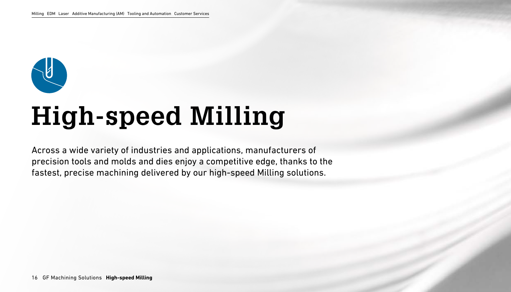

# **High-speed Milling**

Across a wide variety of industries and applications, manufacturers of precision tools and molds and dies enjoy a competitive edge, thanks to the fastest, precise machining delivered by our high-speed Milling solutions.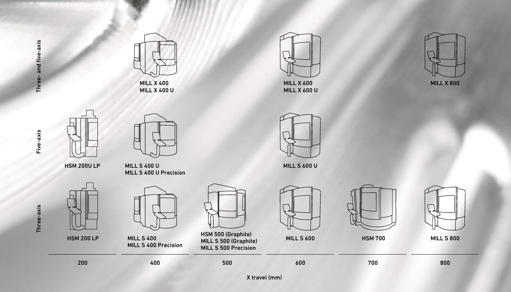Five-axis











MILL X 600 MILL X 600 U



MILL S 400 U Precision



MILL S 500 (Graphite) MILL S 500 Precision



MILL S 600 U







HSM 200 LP MILL S 600 HSM 700 MILL S 800 HSM 500 (Graphite) MILL S 400 MILL S 400 Precision

200 400 500 600 700 800 X travel (mm)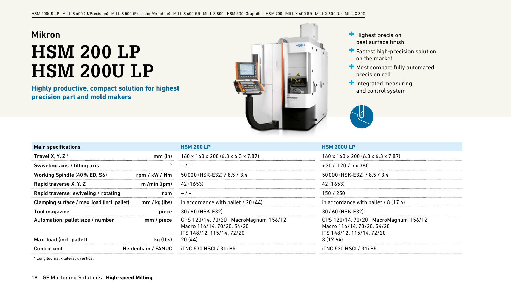## **HSM 200 LP HSM 200U LP**

**Highly productive, compact solution for highest precision part and mold makers**



- $\mathbf{H}$  Highest precision, best surface finish
- **+** Fastest high-precision solution on the market
- **Most compact fully automated** precision cell
- $\blacksquare$  Integrated measuring and control system

| <b>Main specifications</b>                  |                    | <b>HSM 200 LP</b>                                                                                 | <b>HSM 200U LP</b>                                                                                |
|---------------------------------------------|--------------------|---------------------------------------------------------------------------------------------------|---------------------------------------------------------------------------------------------------|
| Travel X.Y.Z <sup>*</sup>                   | $mm$ (in)          | $160 \times 160 \times 200 (6.3 \times 6.3 \times 7.87)$                                          | $160 \times 160 \times 200 (6.3 \times 6.3 \times 7.87)$                                          |
| Swiveling axis / tilting axis               | $\circ$            | $-1-$                                                                                             | $+30/-120/$ n x 360                                                                               |
| Working Spindle (40% ED, S6)                | rpm / kW / Nm      | 50 000 (HSK-E32) / 8.5 / 3.4                                                                      | 50 000 (HSK-E32) / 8.5 / 3.4                                                                      |
| Rapid traverse X, Y, Z                      | m/min (ipm)        | 42 (1653)                                                                                         | 42 (1653)                                                                                         |
| Rapid traverse: swiveling / rotating        | rpm                | $-1-$                                                                                             | 150 / 250                                                                                         |
| Clamping surface / max. load (incl. pallet) | mm / kg (lbs)      | in accordance with pallet / 20 (44)                                                               | in accordance with pallet / 8 (17.6)                                                              |
| Tool magazine                               | piece              | 30/60 (HSK-E32)                                                                                   | 30/60 (HSK-E32)                                                                                   |
| Automation: pallet size / number            | mm / piece         | GPS 120/14, 70/20   MacroMagnum 156/12<br>Macro 116/14, 70/20, 54/20<br>ITS 148/12, 115/14, 72/20 | GPS 120/14, 70/20   MacroMagnum 156/12<br>Macro 116/14, 70/20, 54/20<br>ITS 148/12, 115/14, 72/20 |
| Max. load (incl. pallet)                    | kg (lbs)           | 20(44)                                                                                            | 8 (17.64)                                                                                         |
| Control unit                                | Heidenhain / FANUC | iTNC 530 HSCI / 31i B5                                                                            | <b>iTNC 530 HSCI / 31i B5</b>                                                                     |
|                                             |                    |                                                                                                   |                                                                                                   |

\* Longitudinal x lateral x vertical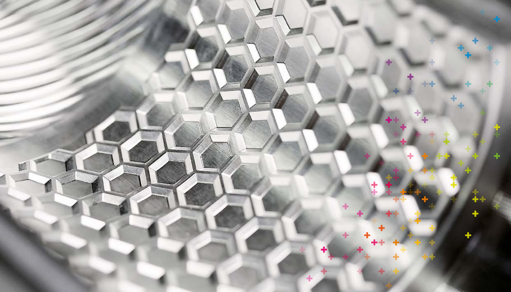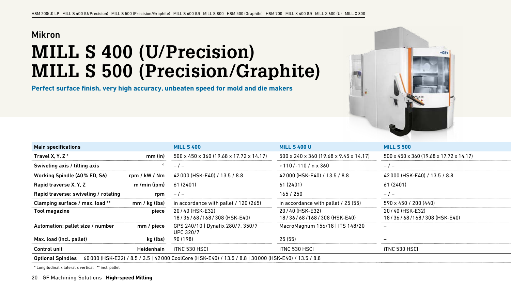## **MILL S 400 (U/Precision) MILL S 500 (Precision/Graphite)**

**Perfect surface finish, very high accuracy, unbeaten speed for mold and die makers**



| <b>Main specifications</b>           |               | <b>MILL S 400</b>                                                                                                    | <b>MILL S 400 U</b>                           | <b>MILL S 500</b>                             |
|--------------------------------------|---------------|----------------------------------------------------------------------------------------------------------------------|-----------------------------------------------|-----------------------------------------------|
| Travel X, Y, Z *                     | mm (in)       | 500 x 450 x 360 (19.68 x 17.72 x 14.17)                                                                              | 500 x 240 x 360 (19.68 x 9.45 x 14.17)        | 500 x 450 x 360 (19.68 x 17.72 x 14.17)       |
| Swiveling axis / tilting axis        |               | $-1$                                                                                                                 | $+110/-110/$ n x 360                          | $-1-$                                         |
| Working Spindle (40% ED, S6)         | rpm / kW / Nm | 42 000 (HSK-E40) / 13.5 / 8.8                                                                                        | 42000 (HSK-E40) / 13.5 / 8.8                  | 42000 (HSK-E40) / 13.5 / 8.8                  |
| Rapid traverse X, Y, Z               | m/min (ipm)   | 61 (2401)                                                                                                            | 61 (2401)                                     | 61 (2401)                                     |
| Rapid traverse: swiveling / rotating |               | rpm $-/-$                                                                                                            | 165 / 250                                     | $-1-$                                         |
| Clamping surface / max. load **      | mm / kg (lbs) | in accordance with pallet / 120 (265)                                                                                | in accordance with pallet / 25 (55)           | 590 x 450 / 200 (440)                         |
| <b>Tool magazine</b>                 | piece         | 20/40 (HSK-E32)<br>18/36/68/168/308 (HSK-E40)                                                                        | 20/40 (HSK-E32)<br>18/36/68/168/308 (HSK-E40) | 20/40 (HSK-E32)<br>18/36/68/168/308 (HSK-E40) |
| Automation: pallet size / number     | mm / piece    | GPS 240/10   Dynafix 280/7, 350/7<br>UPC 320/7                                                                       | MacroMagnum 156/18   ITS 148/20               |                                               |
| Max. load (incl. pallet)             | kg (lbs)      | 90 (198)                                                                                                             | 25(55)                                        |                                               |
| Control unit                         | Heidenhain    | iTNC 530 HSCI                                                                                                        | <b>iTNC 530 HSCI</b>                          | iTNC 530 HSCI                                 |
|                                      |               | Optional Spindles 60000 (HSK-E32) / 8.5 / 3.5   42000 CoolCore (HSK-E40) / 13.5 / 8.8   30000 (HSK-E40) / 13.5 / 8.8 |                                               |                                               |

\* Longitudinal x lateral x vertical \*\* incl. pallet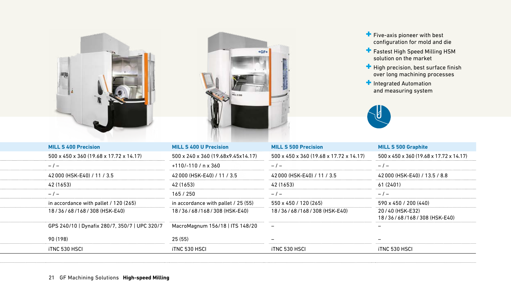

- Five-axis pioneer with best configuration for mold and die
- Fastest High Speed Milling HSM solution on the market
- $\pm$  High precision, best surface finish over long machining processes
- **F** Integrated Automation and measuring system



|          | <b>MILL S 400 Precision</b>                   | <b>MILL S 400 U Precision</b>       | <b>MILL S 500 Precision</b>             | <b>MILL S 500 Graphite</b>                    |
|----------|-----------------------------------------------|-------------------------------------|-----------------------------------------|-----------------------------------------------|
|          | 500 x 450 x 360 (19.68 x 17.72 x 14.17)       | 500 x 240 x 360 (19.68x9.45x14.17)  | 500 x 450 x 360 (19.68 x 17.72 x 14.17) | 500 x 450 x 360 (19.68 x 17.72 x 14.17)       |
| $-/-$    |                                               | $+110/-110/n \times 360$            | $-1$ –                                  | $-1-$                                         |
|          | 42000 (HSK-E40) / 11 / 3.5                    | 42000 (HSK-E40) / 11 / 3.5          | 42000 (HSK-E40) / 11 / 3.5              | 42 000 (HSK-E40) / 13.5 / 8.8                 |
|          | 42 (1653)                                     | 42 (1653)                           | 42 (1653)                               | 61 (2401)                                     |
| $-/-$    |                                               | 165 / 250                           | $-1$ –                                  | $-1$ –                                        |
|          | in accordance with pallet / 120 (265)         | in accordance with pallet / 25 (55) | 550 x 450 / 120 (265)                   | 590 x 450 / 200 (440)                         |
|          | 18/36/68/168/308 (HSK-E40)                    | 18/36/68/168/308 (HSK-E40)          | 18/36/68/168/308 (HSK-E40)              | 20/40 (HSK-E32)<br>18/36/68/168/308 (HSK-E40) |
|          | GPS 240/10   Dynafix 280/7, 350/7   UPC 320/7 | MacroMagnum 156/18   ITS 148/20     |                                         |                                               |
| 90 (198) |                                               | 25(55)                              |                                         |                                               |
|          | iTNC 530 HSCI                                 | iTNC 530 HSCI                       | <b>iTNC 530 HSCI</b>                    | iTNC 530 HSCI                                 |
|          |                                               |                                     |                                         |                                               |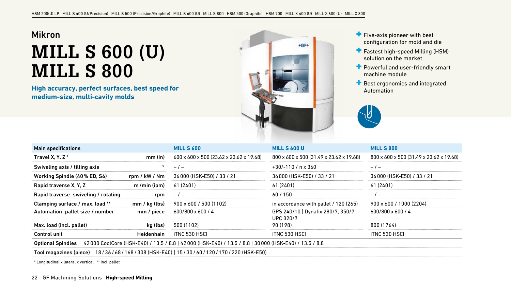## **MILL S 600 (U) MILL S 800**

**High accuracy, perfect surfaces, best speed for medium-size, multi-cavity molds**



- $F$  Five-axis pioneer with best configuration for mold and die
- **F** Fastest high-speed Milling (HSM) solution on the market
- **Powerful and user-friendly smart** machine module
- $\blacksquare$  Best ergonomics and integrated Automation



| <b>Main specifications</b>                                                                                                         |               | <b>MILL S 600</b>                       | <b>MILL S 600 U</b>                            | <b>MILL S 800</b>                       |  |
|------------------------------------------------------------------------------------------------------------------------------------|---------------|-----------------------------------------|------------------------------------------------|-----------------------------------------|--|
| Travel X.Y.Z <sup>*</sup>                                                                                                          | mm (in)       | 600 x 600 x 500 (23.62 x 23.62 x 19.68) | 800 x 600 x 500 (31.49 x 23.62 x 19.68)        | 800 x 600 x 500 (31.49 x 23.62 x 19.68) |  |
| Swiveling axis / tilting axis                                                                                                      |               | $-1-$                                   | $+30/-110/$ n x 360                            | $-1-$                                   |  |
| Working Spindle (40% ED, S6)                                                                                                       | rpm / kW / Nm | 36 000 (HSK-E50) / 33 / 21              | 36 000 (HSK-E50) / 33 / 21                     | 36000 (HSK-E50) / 33 / 21               |  |
| Rapid traverse X, Y, Z                                                                                                             | m/min (ipm)   | 61 (2401)                               | 61 (2401)                                      | 61 (2401)                               |  |
| Rapid traverse: swiveling / rotating                                                                                               | rpm           | $-/-$                                   | 60/150                                         | $-1-$                                   |  |
| Clamping surface / max. load **                                                                                                    | mm / kg (lbs) | 900 x 600 / 500 (1102)                  | in accordance with pallet / 120 (265)          | 900 x 600 / 1000 (2204)                 |  |
| Automation: pallet size / number                                                                                                   | mm / piece    | 600/800 x 600 / 4                       | GPS 240/10   Dynafix 280/7, 350/7<br>UPC 320/7 | 600/800 x 600 / 4                       |  |
| Max. load (incl. pallet)                                                                                                           | kg (lbs)      | 500 (1102)                              | 90 (198)                                       | 800 (1764)                              |  |
| Control unit                                                                                                                       | Heidenhain    | <b>iTNC 530 HSCI</b>                    | <b>iTNC 530 HSCI</b>                           | <b>iTNC 530 HSCI</b>                    |  |
| 42 000 CoolCore (HSK-E40) / 13.5 / 8.8   42 000 (HSK-E40) / 13.5 / 8.8   30 000 (HSK-E40) / 13.5 / 8.8<br><b>Optional Spindles</b> |               |                                         |                                                |                                         |  |
| Tool magazines (piece) 18/36/68/168/308 (HSK-E40)   15/30/60/120/170/220 (HSK-E50)                                                 |               |                                         |                                                |                                         |  |

\* Longitudinal x lateral x vertical \*\* incl. pallet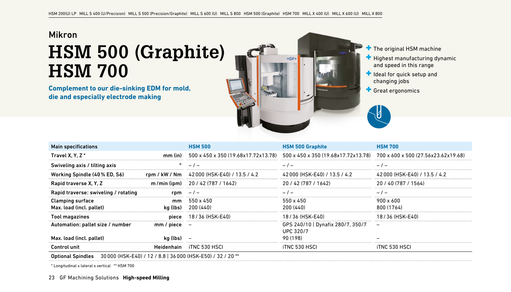### Mikron **HSM 500 (Graphite) HSM 700**

**Complement to our die-sinking EDM for mold, die and especially electrode making**



- $\blacksquare$  The original HSM machine
- $\blacksquare$  Highest manufacturing dynamic and speed in this range
- <sup>1</sup> Ideal for quick setup and changing jobs
- **Great ergonomics**

| <b>Main specifications</b>                                                             |               | <b>HSM 500</b>                      | <b>HSM 500 Graphite</b>                        | <b>HSM 700</b>                      |  |
|----------------------------------------------------------------------------------------|---------------|-------------------------------------|------------------------------------------------|-------------------------------------|--|
| Travel X.Y.Z*                                                                          | $mm$ (in)     | 500 x 450 x 350 (19.68x17.72x13.78) | 500 x 450 x 350 (19.68x17.72x13.78)            | 700 x 600 x 500 (27.56x23.62x19.68) |  |
| Swiveling axis / tilting axis                                                          | $\circ$       | $-1-$                               | $-1-$                                          | $-1-$                               |  |
| Working Spindle (40% ED, S6)                                                           | rpm / kW / Nm | 42 000 (HSK-E40) / 13.5 / 4.2       | 42000 (HSK-E40) / 13.5 / 4.2                   | 42000 (HSK-E40) / 13.5 / 4.2        |  |
| Rapid traverse X, Y, Z                                                                 | m/min (ipm)   | 20 / 42 (787 / 1642)                | 20 / 42 (787 / 1642)                           | 20 / 40 (787 / 1564)                |  |
| Rapid traverse: swiveling / rotating                                                   | rpm           | $-1-$                               | $-1-$                                          | $-1-$                               |  |
| <b>Clamping surface</b>                                                                | mm            | 550 x 450                           | $550 \times 450$                               | $900 \times 600$                    |  |
| Max. load (incl. pallet)                                                               | kg (lbs)      | 200 (440)                           | 200 (440)                                      | 800 (1764)                          |  |
| <b>Tool magazines</b>                                                                  | piece         | 18/36 (HSK-E40)                     | 18/36 (HSK-E40)                                | 18/36 (HSK-E40)                     |  |
| Automation: pallet size / number                                                       | mm / piece    | -                                   | GPS 240/10   Dynafix 280/7, 350/7<br>UPC 320/7 | $\qquad \qquad$                     |  |
| Max. load (incl. pallet)                                                               | kg (lbs)      |                                     | 90 (198)                                       |                                     |  |
| Control unit                                                                           | Heidenhain    | <b>ITNC 530 HSCI</b>                | <b>iTNC 530 HSCI</b>                           | <b>iTNC 530 HSCI</b>                |  |
| 30000 (HSK-E40) / 12 / 8.8   36 000 (HSK-E50) / 32 / 20 **<br><b>Optional Spindles</b> |               |                                     |                                                |                                     |  |

\* Longitudinal x lateral x vertical \*\* HSM 700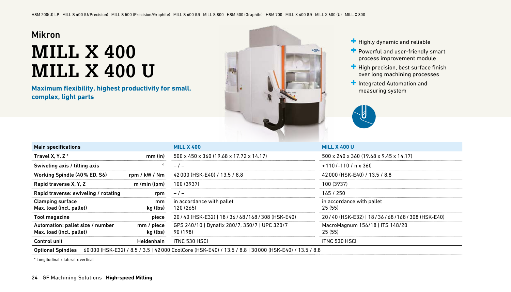## **MILL X 400 MILL X 400 U**

**Maximum flexibility, highest productivity for small, complex, light parts**



- $\pm$  Highly dynamic and reliable
- **Powerful and user-friendly smart** process improvement module
- $\pm$  High precision, best surface finish over long machining processes
- **T** Integrated Automation and measuring system



| <b>Main specifications</b>                                                                                                       |                           | <b>MILL X 400</b>                                         | <b>MILL X 400 U</b>                          |  |
|----------------------------------------------------------------------------------------------------------------------------------|---------------------------|-----------------------------------------------------------|----------------------------------------------|--|
| Travel X, Y, Z <sup>*</sup>                                                                                                      | $mm$ (in)                 | 500 x 450 x 360 (19.68 x 17.72 x 14.17)                   | 500 x 240 x 360 (19.68 x 9.45 x 14.17)       |  |
| Swiveling axis / tilting axis                                                                                                    | $\bullet$                 | $-1-$                                                     | $+110/-110/-n \times 360$                    |  |
| Working Spindle (40% ED, S6)                                                                                                     | rpm / kW / Nm             | 42000 (HSK-E40) / 13.5 / 8.8                              | 42000 (HSK-E40) / 13.5 / 8.8                 |  |
| Rapid traverse X, Y, Z                                                                                                           | m/min (ipm)               | 100 (3937)                                                | 100 (3937)                                   |  |
| Rapid traverse: swiveling / rotating                                                                                             | rpm                       | $-1-$                                                     | 165/250                                      |  |
| <b>Clamping surface</b><br>Max. load (incl. pallet)                                                                              | <sub>mm</sub><br>kg (lbs) | in accordance with pallet<br>120 (265)                    | in accordance with pallet<br>25 (55)         |  |
| <b>Tool magazine</b>                                                                                                             | piece                     | 20/40 (HSK-E32)   18/36/68/168/308 (HSK-E40)              | 20/40 (HSK-E32)   18/36/68/168/308 (HSK-E40) |  |
| Automation: pallet size / number<br>Max. load (incl. pallet)                                                                     | mm / piece<br>kg (lbs)    | GPS 240/10   Dynafix 280/7, 350/7   UPC 320/7<br>90 (198) | MacroMagnum 156/18   ITS 148/20<br>25(55)    |  |
| Control unit                                                                                                                     | Heidenhain                | <b>iTNC 530 HSCI</b>                                      | <b>iTNC 530 HSCI</b>                         |  |
| 60000 (HSK-E32) / 8.5 / 3.5   42 000 CoolCore (HSK-E40) / 13.5 / 8.8   30 000 (HSK-E40) / 13.5 / 8.8<br><b>Optional Spindles</b> |                           |                                                           |                                              |  |

\* Longitudinal x lateral x vertical